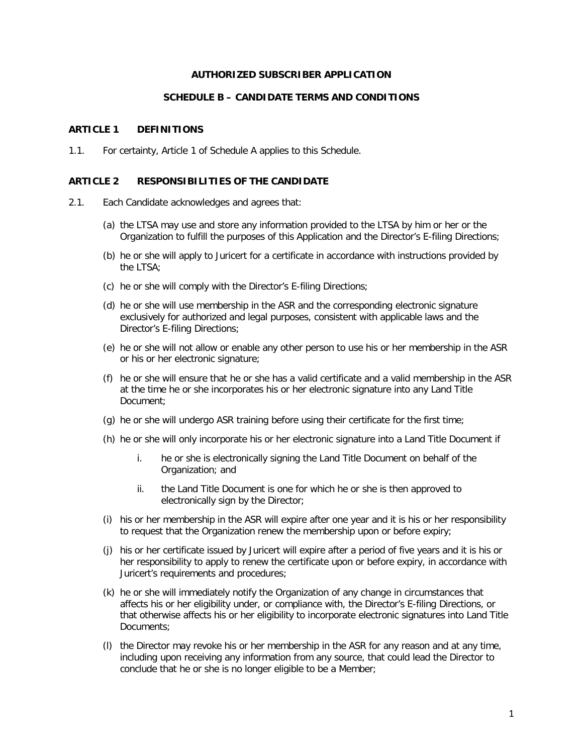## **AUTHORIZED SUBSCRIBER APPLICATION**

## **SCHEDULE B – CANDIDATE TERMS AND CONDITIONS**

## **ARTICLE 1 DEFINITIONS**

1.1. For certainty, Article 1 of Schedule A applies to this Schedule.

## **ARTICLE 2 RESPONSIBILITIES OF THE CANDIDATE**

- 2.1. Each Candidate acknowledges and agrees that:
	- (a) the LTSA may use and store any information provided to the LTSA by him or her or the Organization to fulfill the purposes of this Application and the Director's E-filing Directions;
	- (b) he or she will apply to Juricert for a certificate in accordance with instructions provided by the LTSA;
	- (c) he or she will comply with the Director's E-filing Directions;
	- (d) he or she will use membership in the ASR and the corresponding electronic signature exclusively for authorized and legal purposes, consistent with applicable laws and the Director's E-filing Directions;
	- (e) he or she will not allow or enable any other person to use his or her membership in the ASR or his or her electronic signature;
	- (f) he or she will ensure that he or she has a valid certificate and a valid membership in the ASR at the time he or she incorporates his or her electronic signature into any Land Title Document;
	- (g) he or she will undergo ASR training before using their certificate for the first time;
	- (h) he or she will only incorporate his or her electronic signature into a Land Title Document if
		- i. he or she is electronically signing the Land Title Document on behalf of the Organization; and
		- ii. the Land Title Document is one for which he or she is then approved to electronically sign by the Director;
	- (i) his or her membership in the ASR will expire after one year and it is his or her responsibility to request that the Organization renew the membership upon or before expiry;
	- (j) his or her certificate issued by Juricert will expire after a period of five years and it is his or her responsibility to apply to renew the certificate upon or before expiry, in accordance with Juricert's requirements and procedures;
	- (k) he or she will immediately notify the Organization of any change in circumstances that affects his or her eligibility under, or compliance with, the Director's E-filing Directions, or that otherwise affects his or her eligibility to incorporate electronic signatures into Land Title Documents;
	- (l) the Director may revoke his or her membership in the ASR for any reason and at any time, including upon receiving any information from any source, that could lead the Director to conclude that he or she is no longer eligible to be a Member;